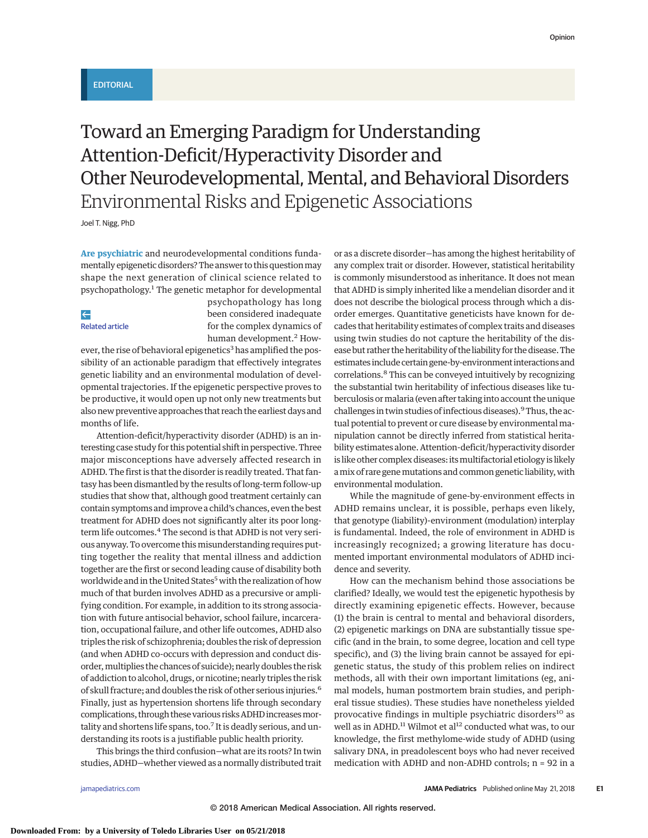### EDITORIAL

# Toward an Emerging Paradigm for Understanding Attention-Deficit/Hyperactivity Disorder and Other Neurodevelopmental, Mental, and Behavioral Disorders Environmental Risks and Epigenetic Associations

Joel T. Nigg, PhD

**Are psychiatric** and neurodevelopmental conditions fundamentally epigenetic disorders? The answer to this question may shape the next generation of clinical science related to psychopathology.1 The genetic metaphor for developmental

## $\leftarrow$

[Related article](https://jama.jamanetwork.com/article.aspx?doi=10.1001/jamapediatrics.2018.0727&utm_campaign=articlePDF%26utm_medium=articlePDFlink%26utm_source=articlePDF%26utm_content=jamapediatrics.2018.0920)

psychopathology has long been considered inadequate for the complex dynamics of human development.<sup>2</sup> How-

ever, the rise of behavioral epigenetics<sup>3</sup> has amplified the possibility of an actionable paradigm that effectively integrates genetic liability and an environmental modulation of developmental trajectories. If the epigenetic perspective proves to be productive, it would open up not only new treatments but also new preventive approaches that reach the earliest days and months of life.

Attention-deficit/hyperactivity disorder (ADHD) is an interesting case study for this potential shift in perspective. Three major misconceptions have adversely affected research in ADHD. The first is that the disorder is readily treated. That fantasy has been dismantled by the results of long-term follow-up studies that show that, although good treatment certainly can contain symptoms and improve a child's chances, even the best treatment for ADHD does not significantly alter its poor longterm life outcomes.<sup>4</sup> The second is that ADHD is not very serious anyway. To overcome thismisunderstanding requires putting together the reality that mental illness and addiction together are the first or second leading cause of disability both worldwide and in the United States<sup>5</sup> with the realization of how much of that burden involves ADHD as a precursive or amplifying condition. For example, in addition to its strong association with future antisocial behavior, school failure, incarceration, occupational failure, and other life outcomes, ADHD also triples the risk of schizophrenia; doubles the risk of depression (and when ADHD co-occurs with depression and conduct disorder, multiplies the chances of suicide); nearly doubles the risk of addiction to alcohol, drugs, or nicotine; nearly triples the risk of skull fracture; and doubles the risk of other serious injuries.6 Finally, just as hypertension shortens life through secondary complications, through these various risks ADHD increasesmortality and shortens life spans, too.<sup>7</sup> It is deadly serious, and understanding its roots is a justifiable public health priority.

This brings the third confusion—what are its roots? In twin studies, ADHD—whether viewed as a normally distributed trait or as a discrete disorder—has among the highest heritability of any complex trait or disorder. However, statistical heritability is commonly misunderstood as inheritance. It does not mean that ADHD is simply inherited like a mendelian disorder and it does not describe the biological process through which a disorder emerges. Quantitative geneticists have known for decades that heritability estimates of complex traits and diseases using twin studies do not capture the heritability of the disease but rather the heritability of the liability for the disease. The estimates include certain gene-by-environment interactions and correlations.8 This can be conveyed intuitively by recognizing the substantial twin heritability of infectious diseases like tuberculosis ormalaria (even after taking into account the unique challenges in twin studies of infectious diseases).<sup>9</sup>Thus, the actual potential to prevent or cure disease by environmental manipulation cannot be directly inferred from statistical heritability estimates alone. Attention-deficit/hyperactivity disorder is like other complex diseases: its multifactorial etiology is likely a mix of rare gene mutations and common genetic liability, with environmental modulation.

While the magnitude of gene-by-environment effects in ADHD remains unclear, it is possible, perhaps even likely, that genotype (liability)-environment (modulation) interplay is fundamental. Indeed, the role of environment in ADHD is increasingly recognized; a growing literature has documented important environmental modulators of ADHD incidence and severity.

How can the mechanism behind those associations be clarified? Ideally, we would test the epigenetic hypothesis by directly examining epigenetic effects. However, because (1) the brain is central to mental and behavioral disorders, (2) epigenetic markings on DNA are substantially tissue specific (and in the brain, to some degree, location and cell type specific), and (3) the living brain cannot be assayed for epigenetic status, the study of this problem relies on indirect methods, all with their own important limitations (eg, animal models, human postmortem brain studies, and peripheral tissue studies). These studies have nonetheless yielded provocative findings in multiple psychiatric disorders<sup>10</sup> as well as in ADHD.<sup>11</sup> Wilmot et al<sup>12</sup> conducted what was, to our knowledge, the first methylome-wide study of ADHD (using salivary DNA, in preadolescent boys who had never received medication with ADHD and non-ADHD controls; n = 92 in a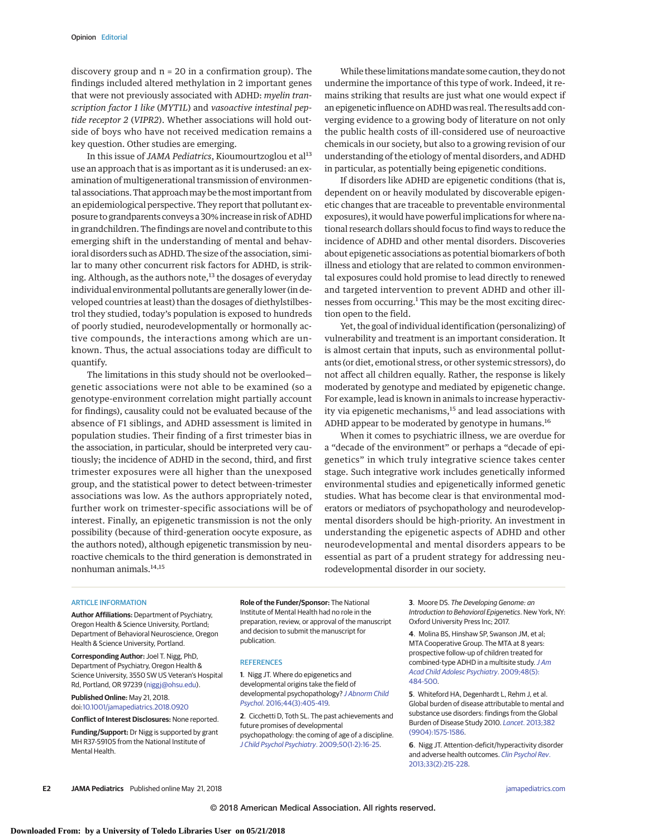discovery group and n = 20 in a confirmation group). The findings included altered methylation in 2 important genes that were not previously associated with ADHD: *myelin transcription factor 1 like* (*MYT1L*) and *vasoactive intestinal peptide receptor 2* (*VIPR2*). Whether associations will hold outside of boys who have not received medication remains a key question. Other studies are emerging.

In this issue of *JAMA Pediatrics*, Kioumourtzoglou et al<sup>13</sup> use an approach that is as important as it is underused: an examination of multigenerational transmission of environmental associations. That approach may be the most important from an epidemiological perspective. They report that pollutant exposure to grandparents conveys a 30% increase in risk of ADHD in grandchildren. The findings are novel and contribute to this emerging shift in the understanding of mental and behavioral disorders such as ADHD. The size of the association, similar to many other concurrent risk factors for ADHD, is striking. Although, as the authors note,<sup>13</sup> the dosages of everyday individual environmental pollutants are generally lower (in developed countries at least) than the dosages of diethylstilbestrol they studied, today's population is exposed to hundreds of poorly studied, neurodevelopmentally or hormonally active compounds, the interactions among which are unknown. Thus, the actual associations today are difficult to quantify.

The limitations in this study should not be overlooked genetic associations were not able to be examined (so a genotype-environment correlation might partially account for findings), causality could not be evaluated because of the absence of F1 siblings, and ADHD assessment is limited in population studies. Their finding of a first trimester bias in the association, in particular, should be interpreted very cautiously; the incidence of ADHD in the second, third, and first trimester exposures were all higher than the unexposed group, and the statistical power to detect between-trimester associations was low. As the authors appropriately noted, further work on trimester-specific associations will be of interest. Finally, an epigenetic transmission is not the only possibility (because of third-generation oocyte exposure, as the authors noted), although epigenetic transmission by neuroactive chemicals to the third generation is demonstrated in nonhuman animals.<sup>14,15</sup>

While these limitations mandate some caution, they do not undermine the importance of this type of work. Indeed, it remains striking that results are just what one would expect if an epigenetic influence on ADHD was real. The results add converging evidence to a growing body of literature on not only the public health costs of ill-considered use of neuroactive chemicals in our society, but also to a growing revision of our understanding of the etiology of mental disorders, and ADHD in particular, as potentially being epigenetic conditions.

If disorders like ADHD are epigenetic conditions (that is, dependent on or heavily modulated by discoverable epigenetic changes that are traceable to preventable environmental exposures), it would have powerful implications for where national research dollars should focus to find ways to reduce the incidence of ADHD and other mental disorders. Discoveries about epigenetic associations as potential biomarkers of both illness and etiology that are related to common environmental exposures could hold promise to lead directly to renewed and targeted intervention to prevent ADHD and other illnesses from occurring.<sup>1</sup> This may be the most exciting direction open to the field.

Yet, the goal of individual identification (personalizing) of vulnerability and treatment is an important consideration. It is almost certain that inputs, such as environmental pollutants (or diet, emotional stress, or other systemic stressors), do not affect all children equally. Rather, the response is likely moderated by genotype and mediated by epigenetic change. For example, lead is known in animals to increase hyperactivity via epigenetic mechanisms,<sup>15</sup> and lead associations with ADHD appear to be moderated by genotype in humans.<sup>16</sup>

When it comes to psychiatric illness, we are overdue for a "decade of the environment" or perhaps a "decade of epigenetics" in which truly integrative science takes center stage. Such integrative work includes genetically informed environmental studies and epigenetically informed genetic studies. What has become clear is that environmental moderators or mediators of psychopathology and neurodevelopmental disorders should be high-priority. An investment in understanding the epigenetic aspects of ADHD and other neurodevelopmental and mental disorders appears to be essential as part of a prudent strategy for addressing neurodevelopmental disorder in our society.

#### ARTICLE INFORMATION

**Author Affiliations:** Department of Psychiatry, Oregon Health & Science University, Portland; Department of Behavioral Neuroscience, Oregon Health & Science University, Portland.

**Corresponding Author:** Joel T. Nigg, PhD, Department of Psychiatry, Oregon Health & Science University, 3550 SW US Veteran's Hospital Rd, Portland, OR 97239 [\(niggj@ohsu.edu\)](mailto:niggj@ohsu.edu).

**Published Online:** May 21, 2018. doi[:10.1001/jamapediatrics.2018.0920](https://jama.jamanetwork.com/article.aspx?doi=10.1001/jamapediatrics.2018.0920&utm_campaign=articlePDF%26utm_medium=articlePDFlink%26utm_source=articlePDF%26utm_content=jamapediatrics.2018.0920)

**Conflict of Interest Disclosures:** None reported.

**Funding/Support:** Dr Nigg is supported by grant MH R37-59105 from the National Institute of Mental Health.

**Role of the Funder/Sponsor:** The National Institute of Mental Health had no role in the preparation, review, or approval of the manuscript and decision to submit the manuscript for publication.

#### **REFERENCES**

**1**. Nigg JT. Where do epigenetics and developmental origins take the field of developmental psychopathology? [J Abnorm Child](https://www.ncbi.nlm.nih.gov/pubmed/26758288) Psychol[. 2016;44\(3\):405-419.](https://www.ncbi.nlm.nih.gov/pubmed/26758288)

**2**. Cicchetti D, Toth SL. The past achievements and future promises of developmental psychopathology: the coming of age of a discipline. [J Child Psychol Psychiatry](https://www.ncbi.nlm.nih.gov/pubmed/19175810). 2009;50(1-2):16-25.

**3**. Moore DS. The Developing Genome: an Introduction to Behavioral Epigenetics. New York, NY: Oxford University Press Inc; 2017.

**4**. Molina BS, Hinshaw SP, Swanson JM, et al; MTA Cooperative Group. The MTA at 8 years: prospective follow-up of children treated for combined-type ADHD in a multisite study.[J Am](https://www.ncbi.nlm.nih.gov/pubmed/19318991) [Acad Child Adolesc Psychiatry](https://www.ncbi.nlm.nih.gov/pubmed/19318991). 2009;48(5): [484-500.](https://www.ncbi.nlm.nih.gov/pubmed/19318991)

**5**. Whiteford HA, Degenhardt L, Rehm J, et al. Global burden of disease attributable to mental and substance use disorders: findings from the Global Burden of Disease Study 2010. Lancet[. 2013;382](https://www.ncbi.nlm.nih.gov/pubmed/23993280) [\(9904\):1575-1586.](https://www.ncbi.nlm.nih.gov/pubmed/23993280)

**6**. Nigg JT. Attention-deficit/hyperactivity disorder and adverse health outcomes. [Clin Psychol Rev](https://www.ncbi.nlm.nih.gov/pubmed/23298633). [2013;33\(2\):215-228.](https://www.ncbi.nlm.nih.gov/pubmed/23298633)